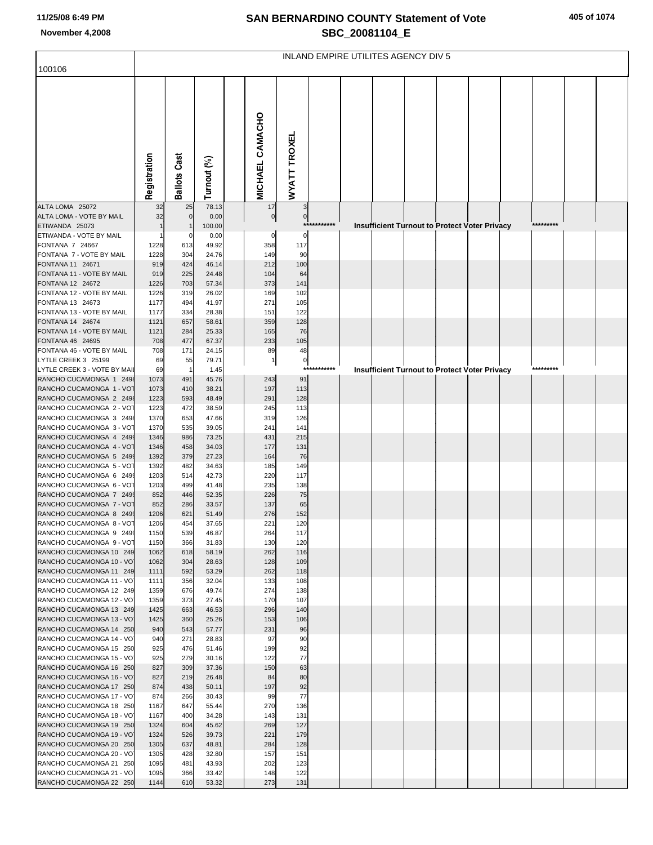| 11/25/08 6:49 PM<br>November 4,2008                 | <b>SAN BERNARDINO COUNTY Statement of Vote</b><br>SBC_20081104_E |                       |                      |  |                      |                        |             |  |  |                                     |  |                                                      |  |           | 405 of 1074 |  |  |  |  |
|-----------------------------------------------------|------------------------------------------------------------------|-----------------------|----------------------|--|----------------------|------------------------|-------------|--|--|-------------------------------------|--|------------------------------------------------------|--|-----------|-------------|--|--|--|--|
| 100106                                              |                                                                  |                       |                      |  |                      |                        |             |  |  | INLAND EMPIRE UTILITES AGENCY DIV 5 |  |                                                      |  |           |             |  |  |  |  |
| ALTA LOMA 25072                                     | Registration                                                     | Cast<br>Ballots<br>25 | Turnout (%)<br>78.13 |  | MICHAEL CAMACHO      | <b>WYATT TROXEL</b>    |             |  |  |                                     |  |                                                      |  |           |             |  |  |  |  |
| ALTA LOMA - VOTE BY MAIL                            | 32<br>32                                                         | 0                     | 0.00                 |  | 17<br>$\overline{0}$ | 3<br>$\overline{0}$    |             |  |  |                                     |  |                                                      |  |           |             |  |  |  |  |
| ETIWANDA 25073                                      |                                                                  |                       | 100.00               |  |                      |                        | *********** |  |  |                                     |  | <b>Insufficient Turnout to Protect Voter Privacy</b> |  | ********* |             |  |  |  |  |
| ETIWANDA - VOTE BY MAIL<br>FONTANA 7 24667          | 1228                                                             | 613                   | 0.00<br>49.92        |  | $\Omega$<br>358      | $\Omega$<br>117        |             |  |  |                                     |  |                                                      |  |           |             |  |  |  |  |
| FONTANA 7 - VOTE BY MAIL                            | 1228                                                             | 304                   | 24.76                |  | 149                  | 90                     |             |  |  |                                     |  |                                                      |  |           |             |  |  |  |  |
| FONTANA 11 24671                                    | 919                                                              | 424                   | 46.14                |  | 212                  | 100                    |             |  |  |                                     |  |                                                      |  |           |             |  |  |  |  |
| FONTANA 11 - VOTE BY MAIL<br>FONTANA 12 24672       | 919<br>1226                                                      | 225<br>703            | 24.48<br>57.34       |  | 104<br>373           | 64<br>141              |             |  |  |                                     |  |                                                      |  |           |             |  |  |  |  |
| FONTANA 12 - VOTE BY MAIL                           | 1226                                                             | 319                   | 26.02                |  | 169                  | 102                    |             |  |  |                                     |  |                                                      |  |           |             |  |  |  |  |
| FONTANA 13 24673                                    | 1177                                                             | 494                   | 41.97                |  | 271                  | 105                    |             |  |  |                                     |  |                                                      |  |           |             |  |  |  |  |
| FONTANA 13 - VOTE BY MAIL                           | 1177                                                             | 334                   | 28.38                |  | 151                  | 122                    |             |  |  |                                     |  |                                                      |  |           |             |  |  |  |  |
| FONTANA 14 24674<br>FONTANA 14 - VOTE BY MAIL       | 1121<br>1121                                                     | 657<br>284            | 58.61<br>25.33       |  | 359<br>165           | 128<br>76              |             |  |  |                                     |  |                                                      |  |           |             |  |  |  |  |
| FONTANA 46 24695                                    | 708                                                              | 477                   | 67.37                |  | 233                  | 105                    |             |  |  |                                     |  |                                                      |  |           |             |  |  |  |  |
| FONTANA 46 - VOTE BY MAIL                           | 708                                                              | 171                   | 24.15                |  | 89                   | 48                     |             |  |  |                                     |  |                                                      |  |           |             |  |  |  |  |
| LYTLE CREEK 3 25199<br>LYTLE CREEK 3 - VOTE BY MAII | 69<br>69                                                         | 55<br>$\mathbf 1$     | 79.71<br>1.45        |  | -1                   | $\overline{0}$<br>$**$ | *******     |  |  |                                     |  | <b>Insufficient Turnout to Protect Voter Privacy</b> |  | ********* |             |  |  |  |  |
| RANCHO CUCAMONGA 1 2498                             | 1073                                                             | 491                   | 45.76                |  | 243                  | 91                     |             |  |  |                                     |  |                                                      |  |           |             |  |  |  |  |
| RANCHO CUCAMONGA 1 - VOT                            | 1073                                                             | 410                   | 38.21                |  | 197                  | 113                    |             |  |  |                                     |  |                                                      |  |           |             |  |  |  |  |
| RANCHO CUCAMONGA 2 2498<br>RANCHO CUCAMONGA 2 - VOT | 1223<br>1223                                                     | 593<br>472            | 48.49<br>38.59       |  | 291<br>245           | 128<br>113             |             |  |  |                                     |  |                                                      |  |           |             |  |  |  |  |
| RANCHO CUCAMONGA 3 2498                             | 1370                                                             | 653                   | 47.66                |  | 319                  | 126                    |             |  |  |                                     |  |                                                      |  |           |             |  |  |  |  |
| RANCHO CUCAMONGA 3 - VOT                            | 1370                                                             | 535                   | 39.05                |  | 241                  | 141                    |             |  |  |                                     |  |                                                      |  |           |             |  |  |  |  |
| RANCHO CUCAMONGA 4 2499                             | 1346                                                             | 986                   | 73.25                |  | 431                  | 215                    |             |  |  |                                     |  |                                                      |  |           |             |  |  |  |  |
| RANCHO CUCAMONGA 4 - VOT<br>RANCHO CUCAMONGA 5 249  | 1346<br>1392                                                     | 458<br>379            | 34.03<br>27.23       |  | 177<br>164           | 131<br>76              |             |  |  |                                     |  |                                                      |  |           |             |  |  |  |  |
| RANCHO CUCAMONGA 5 - VOT                            | 1392                                                             | 482                   | 34.63                |  | 185                  | 149                    |             |  |  |                                     |  |                                                      |  |           |             |  |  |  |  |
| RANCHO CUCAMONGA 6 249                              | 1203                                                             | 514                   | 42.73                |  | 220                  | 117                    |             |  |  |                                     |  |                                                      |  |           |             |  |  |  |  |
| RANCHO CUCAMONGA 6 - VOT<br>RANCHO CUCAMONGA 7 2499 | 1203<br>852                                                      | 499<br>446            | 41.48<br>52.35       |  | 235<br>226           | 138<br>75              |             |  |  |                                     |  |                                                      |  |           |             |  |  |  |  |
| RANCHO CUCAMONGA 7 - VOT                            | 852                                                              | 286                   | 33.57                |  | 137                  | 65                     |             |  |  |                                     |  |                                                      |  |           |             |  |  |  |  |
| RANCHO CUCAMONGA 8 2499                             | 1206                                                             | 621                   | 51.49                |  | 276                  | 152                    |             |  |  |                                     |  |                                                      |  |           |             |  |  |  |  |
| RANCHO CUCAMONGA 8 - VOT<br>RANCHO CUCAMONGA 9 2499 | 1206<br>1150                                                     | 454<br>539            | 37.65<br>46.87       |  | 221<br>264           | 120<br>117             |             |  |  |                                     |  |                                                      |  |           |             |  |  |  |  |
| RANCHO CUCAMONGA 9 - VOT                            | 1150                                                             | 366                   | 31.83                |  | 130                  | 120                    |             |  |  |                                     |  |                                                      |  |           |             |  |  |  |  |
| RANCHO CUCAMONGA 10 249                             | 1062                                                             | 618                   | 58.19                |  | 262                  | 116                    |             |  |  |                                     |  |                                                      |  |           |             |  |  |  |  |
| RANCHO CUCAMONGA 10 - VO                            | 1062                                                             | 304                   | 28.63                |  | 128                  | 109                    |             |  |  |                                     |  |                                                      |  |           |             |  |  |  |  |
| RANCHO CUCAMONGA 11 249<br>RANCHO CUCAMONGA 11 - VO | 1111<br>1111                                                     | 592<br>356            | 53.29<br>32.04       |  | 262<br>133           | 118<br>108             |             |  |  |                                     |  |                                                      |  |           |             |  |  |  |  |
| RANCHO CUCAMONGA 12 249                             | 1359                                                             | 676                   | 49.74                |  | 274                  | 138                    |             |  |  |                                     |  |                                                      |  |           |             |  |  |  |  |
| RANCHO CUCAMONGA 12 - VO                            | 1359                                                             | 373                   | 27.45                |  | 170                  | 107                    |             |  |  |                                     |  |                                                      |  |           |             |  |  |  |  |
| RANCHO CUCAMONGA 13 249<br>RANCHO CUCAMONGA 13 - VO | 1425<br>1425                                                     | 663<br>360            | 46.53<br>25.26       |  | 296<br>153           | 140<br>106             |             |  |  |                                     |  |                                                      |  |           |             |  |  |  |  |
| RANCHO CUCAMONGA 14 250                             | 940                                                              | 543                   | 57.77                |  | 231                  | 96                     |             |  |  |                                     |  |                                                      |  |           |             |  |  |  |  |
| RANCHO CUCAMONGA 14 - VO                            | 940                                                              | 271                   | 28.83                |  | 97                   | 90                     |             |  |  |                                     |  |                                                      |  |           |             |  |  |  |  |
| RANCHO CUCAMONGA 15 250<br>RANCHO CUCAMONGA 15 - VO | 925<br>925                                                       | 476<br>279            | 51.46<br>30.16       |  | 199<br>122           | 92<br>77               |             |  |  |                                     |  |                                                      |  |           |             |  |  |  |  |
| RANCHO CUCAMONGA 16 250                             | 827                                                              | 309                   | 37.36                |  | 150                  | 63                     |             |  |  |                                     |  |                                                      |  |           |             |  |  |  |  |
| RANCHO CUCAMONGA 16 - VO                            | 827                                                              | 219                   | 26.48                |  | 84                   | 80                     |             |  |  |                                     |  |                                                      |  |           |             |  |  |  |  |
| RANCHO CUCAMONGA 17 250                             | 874                                                              | 438                   | 50.11                |  | 197                  | 92                     |             |  |  |                                     |  |                                                      |  |           |             |  |  |  |  |
| RANCHO CUCAMONGA 17 - VO<br>RANCHO CUCAMONGA 18 250 | 874<br>1167                                                      | 266<br>647            | 30.43<br>55.44       |  | 99<br>270            | 77<br>136              |             |  |  |                                     |  |                                                      |  |           |             |  |  |  |  |
| RANCHO CUCAMONGA 18 - VO                            | 1167                                                             | 400                   | 34.28                |  | 143                  | 131                    |             |  |  |                                     |  |                                                      |  |           |             |  |  |  |  |
| RANCHO CUCAMONGA 19 250                             | 1324                                                             | 604                   | 45.62                |  | 269                  | 127                    |             |  |  |                                     |  |                                                      |  |           |             |  |  |  |  |
| RANCHO CUCAMONGA 19 - VO                            | 1324                                                             | 526                   | 39.73                |  | 221                  | 179                    |             |  |  |                                     |  |                                                      |  |           |             |  |  |  |  |
| RANCHO CUCAMONGA 20 250<br>RANCHO CUCAMONGA 20 - VO | 1305<br>1305                                                     | 637<br>428            | 48.81<br>32.80       |  | 284<br>157           | 128<br>151             |             |  |  |                                     |  |                                                      |  |           |             |  |  |  |  |
| RANCHO CUCAMONGA 21 250                             | 1095                                                             | 481                   | 43.93                |  | 202                  | 123                    |             |  |  |                                     |  |                                                      |  |           |             |  |  |  |  |
| RANCHO CUCAMONGA 21 - VO                            | 1095                                                             | 366                   | 33.42                |  | 148                  | 122                    |             |  |  |                                     |  |                                                      |  |           |             |  |  |  |  |
| RANCHO CUCAMONGA 22 250                             | 1144                                                             | 610                   | 53.32                |  | 273                  | 131                    |             |  |  |                                     |  |                                                      |  |           |             |  |  |  |  |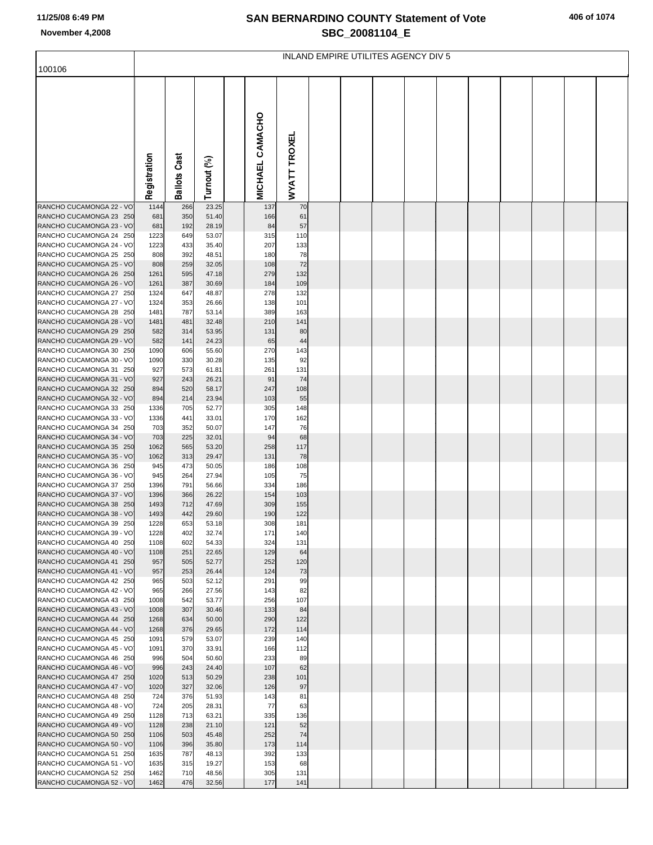# **SAN BERNARDINO COUNTY Statement of Vote November 4,2008 SBC\_20081104\_E**

| 406 of 1074 |  |
|-------------|--|
|-------------|--|

| 100106                                              | INLAND EMPIRE UTILITES AGENCY DIV 5 |                        |                |  |                        |              |  |  |  |  |  |  |  |  |  |
|-----------------------------------------------------|-------------------------------------|------------------------|----------------|--|------------------------|--------------|--|--|--|--|--|--|--|--|--|
|                                                     | Registration                        | Cast<br><b>Ballots</b> | Turnout (%)    |  | <b>MICHAEL CAMACHO</b> | WYATT TROXEL |  |  |  |  |  |  |  |  |  |
| RANCHO CUCAMONGA 22 - VO<br>RANCHO CUCAMONGA 23 250 | 1144<br>681                         | 266<br>350             | 23.25<br>51.40 |  | 137<br>166             | 70<br>61     |  |  |  |  |  |  |  |  |  |
| RANCHO CUCAMONGA 23 - VO                            | 681                                 | 192                    | 28.19          |  | 84                     | 57           |  |  |  |  |  |  |  |  |  |
| RANCHO CUCAMONGA 24 250                             | 1223                                | 649                    | 53.07          |  | 315                    | 110          |  |  |  |  |  |  |  |  |  |
| RANCHO CUCAMONGA 24 - VO<br>RANCHO CUCAMONGA 25 250 | 1223<br>808                         | 433<br>392             | 35.40<br>48.51 |  | 207<br>180             | 133<br>78    |  |  |  |  |  |  |  |  |  |
| RANCHO CUCAMONGA 25 - VO                            | 808                                 | 259                    | 32.05          |  | 108                    | 72           |  |  |  |  |  |  |  |  |  |
| RANCHO CUCAMONGA 26 250                             | 1261                                | 595                    | 47.18          |  | 279                    | 132          |  |  |  |  |  |  |  |  |  |
| RANCHO CUCAMONGA 26 - VO                            | 1261                                | 387                    | 30.69          |  | 184                    | 109          |  |  |  |  |  |  |  |  |  |
| RANCHO CUCAMONGA 27 250<br>RANCHO CUCAMONGA 27 - VO | 1324<br>1324                        | 647<br>353             | 48.87<br>26.66 |  | 278<br>138             | 132<br>101   |  |  |  |  |  |  |  |  |  |
| RANCHO CUCAMONGA 28 250                             | 1481                                | 787                    | 53.14          |  | 389                    | 163          |  |  |  |  |  |  |  |  |  |
| RANCHO CUCAMONGA 28 - VO                            | 1481                                | 481                    | 32.48          |  | 210                    | 141          |  |  |  |  |  |  |  |  |  |
| RANCHO CUCAMONGA 29 250                             | 582                                 | 314                    | 53.95          |  | 131                    | 80           |  |  |  |  |  |  |  |  |  |
| RANCHO CUCAMONGA 29 - VO<br>RANCHO CUCAMONGA 30 250 | 582                                 | 141                    | 24.23          |  | 65                     | 44           |  |  |  |  |  |  |  |  |  |
| RANCHO CUCAMONGA 30 - VO                            | 1090<br>1090                        | 606<br>330             | 55.60<br>30.28 |  | 270<br>135             | 143<br>92    |  |  |  |  |  |  |  |  |  |
| RANCHO CUCAMONGA 31 250                             | 927                                 | 573                    | 61.81          |  | 261                    | 131          |  |  |  |  |  |  |  |  |  |
| RANCHO CUCAMONGA 31 - VO                            | 927                                 | 243                    | 26.21          |  | 91                     | 74           |  |  |  |  |  |  |  |  |  |
| RANCHO CUCAMONGA 32 250                             | 894                                 | 520                    | 58.17          |  | 247                    | 108          |  |  |  |  |  |  |  |  |  |
| RANCHO CUCAMONGA 32 - VO<br>RANCHO CUCAMONGA 33 250 | 894<br>1336                         | 214<br>705             | 23.94<br>52.77 |  | 103<br>305             | 55<br>148    |  |  |  |  |  |  |  |  |  |
| RANCHO CUCAMONGA 33 - VO                            | 1336                                | 441                    | 33.01          |  | 170                    | 162          |  |  |  |  |  |  |  |  |  |
| RANCHO CUCAMONGA 34 250                             | 703                                 | 352                    | 50.07          |  | 147                    | 76           |  |  |  |  |  |  |  |  |  |
| RANCHO CUCAMONGA 34 - VO                            | 703                                 | 225                    | 32.01          |  | 94                     | 68           |  |  |  |  |  |  |  |  |  |
| RANCHO CUCAMONGA 35 250<br>RANCHO CUCAMONGA 35 - VO | 1062<br>1062                        | 565<br>313             | 53.20<br>29.47 |  | 258<br>131             | 117<br>78    |  |  |  |  |  |  |  |  |  |
| RANCHO CUCAMONGA 36 250                             | 945                                 | 473                    | 50.05          |  | 186                    | 108          |  |  |  |  |  |  |  |  |  |
| RANCHO CUCAMONGA 36 - VO                            | 945                                 | 264                    | 27.94          |  | 105                    | 75           |  |  |  |  |  |  |  |  |  |
| RANCHO CUCAMONGA 37 250                             | 1396                                | 791                    | 56.66          |  | 334                    | 186          |  |  |  |  |  |  |  |  |  |
| RANCHO CUCAMONGA 37 - VO<br>RANCHO CUCAMONGA 38 250 | 1396                                | 366<br>712             | 26.22<br>47.69 |  | 154<br>309             | 103          |  |  |  |  |  |  |  |  |  |
| RANCHO CUCAMONGA 38 - VO                            | 1493<br>1493                        | 442                    | 29.60          |  | 190                    | 155<br>122   |  |  |  |  |  |  |  |  |  |
| RANCHO CUCAMONGA 39 250                             | 1228                                | 653                    | 53.18          |  | 308                    | 181          |  |  |  |  |  |  |  |  |  |
| RANCHO CUCAMONGA 39 - VO                            | 1228                                | 402                    | 32.74          |  | 171                    | 140          |  |  |  |  |  |  |  |  |  |
| RANCHO CUCAMONGA 40 250                             | 1108                                | 602                    | 54.33          |  | 324                    | 131          |  |  |  |  |  |  |  |  |  |
| RANCHO CUCAMONGA 40 - VO<br>RANCHO CUCAMONGA 41 250 | 1108<br>957                         | 251<br>505             | 22.65<br>52.77 |  | 129<br>252             | 64<br>120    |  |  |  |  |  |  |  |  |  |
| RANCHO CUCAMONGA 41 - VO                            | 957                                 | 253                    | 26.44          |  | 124                    | 73           |  |  |  |  |  |  |  |  |  |
| RANCHO CUCAMONGA 42 250                             | 965                                 | 503                    | 52.12          |  | 291                    | 99           |  |  |  |  |  |  |  |  |  |
| RANCHO CUCAMONGA 42 - VO                            | 965                                 | 266                    | 27.56          |  | 143                    | 82           |  |  |  |  |  |  |  |  |  |
| RANCHO CUCAMONGA 43 250<br>RANCHO CUCAMONGA 43 - VO | 1008<br>1008                        | 542<br>307             | 53.77<br>30.46 |  | 256<br>133             | 107<br>84    |  |  |  |  |  |  |  |  |  |
| RANCHO CUCAMONGA 44 250                             | 1268                                | 634                    | 50.00          |  | 290                    | 122          |  |  |  |  |  |  |  |  |  |
| RANCHO CUCAMONGA 44 - VO                            | 1268                                | 376                    | 29.65          |  | 172                    | 114          |  |  |  |  |  |  |  |  |  |
| RANCHO CUCAMONGA 45 250                             | 1091                                | 579                    | 53.07          |  | 239                    | 140          |  |  |  |  |  |  |  |  |  |
| RANCHO CUCAMONGA 45 - VO                            | 1091                                | 370                    | 33.91          |  | 166                    | 112          |  |  |  |  |  |  |  |  |  |
| RANCHO CUCAMONGA 46 250<br>RANCHO CUCAMONGA 46 - VO | 996<br>996                          | 504<br>243             | 50.60<br>24.40 |  | 233<br>107             | 89<br>62     |  |  |  |  |  |  |  |  |  |
| RANCHO CUCAMONGA 47 250                             | 1020                                | 513                    | 50.29          |  | 238                    | 101          |  |  |  |  |  |  |  |  |  |
| RANCHO CUCAMONGA 47 - VO                            | 1020                                | 327                    | 32.06          |  | 126                    | 97           |  |  |  |  |  |  |  |  |  |
| RANCHO CUCAMONGA 48 250                             | 724                                 | 376                    | 51.93          |  | 143                    | 81           |  |  |  |  |  |  |  |  |  |
| RANCHO CUCAMONGA 48 - VO<br>RANCHO CUCAMONGA 49 250 | 724<br>1128                         | 205<br>713             | 28.31<br>63.21 |  | 77<br>335              | 63<br>136    |  |  |  |  |  |  |  |  |  |
| RANCHO CUCAMONGA 49 - VO                            | 1128                                | 238                    | 21.10          |  | 121                    | 52           |  |  |  |  |  |  |  |  |  |
| RANCHO CUCAMONGA 50 250                             | 1106                                | 503                    | 45.48          |  | 252                    | 74           |  |  |  |  |  |  |  |  |  |
| RANCHO CUCAMONGA 50 - VO                            | 1106                                | 396                    | 35.80          |  | 173                    | 114          |  |  |  |  |  |  |  |  |  |
| RANCHO CUCAMONGA 51 250                             | 1635                                | 787                    | 48.13          |  | 392                    | 133          |  |  |  |  |  |  |  |  |  |
| RANCHO CUCAMONGA 51 - VO                            | 1635                                | 315                    | 19.27          |  | 153                    | 68           |  |  |  |  |  |  |  |  |  |
| RANCHO CUCAMONGA 52 250                             | 1462                                | 710                    | 48.56          |  | 305                    | 131          |  |  |  |  |  |  |  |  |  |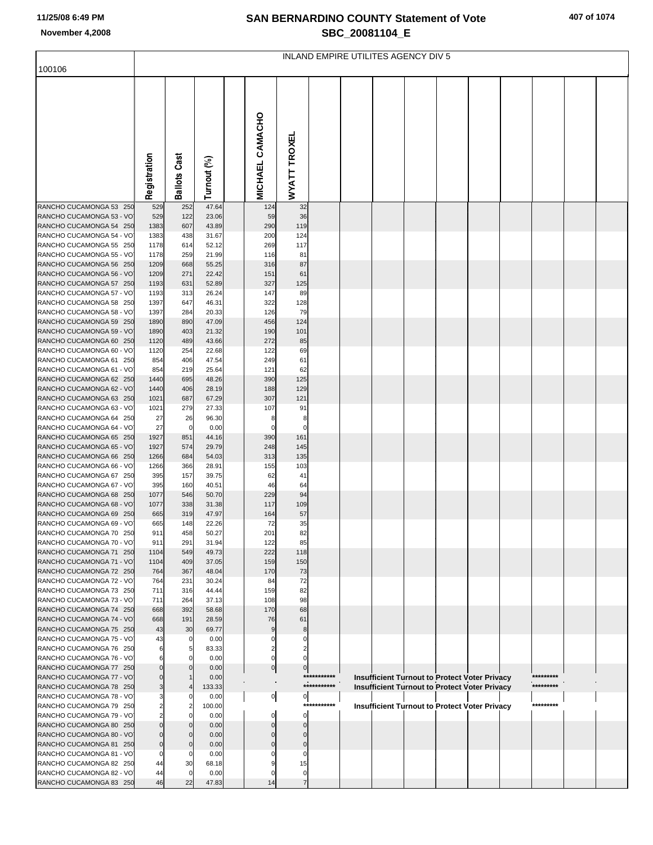### **SAN BERNARDINO COUNTY Statement of Vote November 4,2008 SBC\_20081104\_E**

| 407 of 1074 |  |
|-------------|--|
|-------------|--|

|                                                     | INLAND EMPIRE UTILITES AGENCY DIV 5 |                               |                |  |                             |                            |             |  |  |  |  |                                                      |  |           |  |  |
|-----------------------------------------------------|-------------------------------------|-------------------------------|----------------|--|-----------------------------|----------------------------|-------------|--|--|--|--|------------------------------------------------------|--|-----------|--|--|
| 100106                                              |                                     |                               |                |  |                             |                            |             |  |  |  |  |                                                      |  |           |  |  |
|                                                     |                                     |                               |                |  |                             |                            |             |  |  |  |  |                                                      |  |           |  |  |
|                                                     |                                     |                               |                |  | <b>MICHAEL CAMACHO</b>      | <b>WYATT TROXEL</b>        |             |  |  |  |  |                                                      |  |           |  |  |
|                                                     | Registration                        | <b>Ballots Cast</b>           | Turnout (%)    |  |                             |                            |             |  |  |  |  |                                                      |  |           |  |  |
| RANCHO CUCAMONGA 53 250                             | 529                                 | 252                           | 47.64          |  | 124                         | 32                         |             |  |  |  |  |                                                      |  |           |  |  |
| RANCHO CUCAMONGA 53 - VO                            | 529                                 | 122                           | 23.06          |  | 59                          | 36                         |             |  |  |  |  |                                                      |  |           |  |  |
| RANCHO CUCAMONGA 54 250                             | 1383                                | 607                           | 43.89          |  | 290                         | 119                        |             |  |  |  |  |                                                      |  |           |  |  |
| RANCHO CUCAMONGA 54 - VO                            | 1383                                | 438                           | 31.67          |  | 200                         | 124                        |             |  |  |  |  |                                                      |  |           |  |  |
| RANCHO CUCAMONGA 55 250<br>RANCHO CUCAMONGA 55 - VO | 1178<br>1178                        | 614<br>259                    | 52.12<br>21.99 |  | 269<br>116                  | 117<br>81                  |             |  |  |  |  |                                                      |  |           |  |  |
| RANCHO CUCAMONGA 56 250                             | 1209                                | 668                           | 55.25          |  | 316                         | 87                         |             |  |  |  |  |                                                      |  |           |  |  |
| RANCHO CUCAMONGA 56 - VO                            | 1209                                | 271                           | 22.42          |  | 151                         | 61                         |             |  |  |  |  |                                                      |  |           |  |  |
| RANCHO CUCAMONGA 57 250                             | 1193                                | 631                           | 52.89          |  | 327                         | 125                        |             |  |  |  |  |                                                      |  |           |  |  |
| RANCHO CUCAMONGA 57 - VO                            | 1193                                | 313                           | 26.24          |  | 147                         | 89                         |             |  |  |  |  |                                                      |  |           |  |  |
| RANCHO CUCAMONGA 58 250                             | 1397                                | 647                           | 46.31          |  | 322                         | 128                        |             |  |  |  |  |                                                      |  |           |  |  |
| RANCHO CUCAMONGA 58 - VO                            | 1397                                | 284                           | 20.33          |  | 126                         | 79                         |             |  |  |  |  |                                                      |  |           |  |  |
| RANCHO CUCAMONGA 59 250<br>RANCHO CUCAMONGA 59 - VO | 1890<br>1890                        | 890<br>403                    | 47.09<br>21.32 |  | 456<br>190                  | 124<br>101                 |             |  |  |  |  |                                                      |  |           |  |  |
| RANCHO CUCAMONGA 60 250                             | 1120                                | 489                           | 43.66          |  | 272                         | 85                         |             |  |  |  |  |                                                      |  |           |  |  |
| RANCHO CUCAMONGA 60 - VO                            | 1120                                | 254                           | 22.68          |  | 122                         | 69                         |             |  |  |  |  |                                                      |  |           |  |  |
| RANCHO CUCAMONGA 61 250                             | 854                                 | 406                           | 47.54          |  | 249                         | 61                         |             |  |  |  |  |                                                      |  |           |  |  |
| RANCHO CUCAMONGA 61 - VO                            | 854                                 | 219                           | 25.64          |  | 121                         | 62                         |             |  |  |  |  |                                                      |  |           |  |  |
| RANCHO CUCAMONGA 62 250                             | 1440                                | 695                           | 48.26          |  | 390                         | 125                        |             |  |  |  |  |                                                      |  |           |  |  |
| RANCHO CUCAMONGA 62 - VO<br>RANCHO CUCAMONGA 63 250 | 1440<br>1021                        | 406<br>687                    | 28.19<br>67.29 |  | 188<br>307                  | 129<br>121                 |             |  |  |  |  |                                                      |  |           |  |  |
| RANCHO CUCAMONGA 63 - VO                            | 1021                                | 279                           | 27.33          |  | 107                         | 91                         |             |  |  |  |  |                                                      |  |           |  |  |
| RANCHO CUCAMONGA 64 250                             | 27                                  | 26                            | 96.30          |  | 8                           | 8                          |             |  |  |  |  |                                                      |  |           |  |  |
| RANCHO CUCAMONGA 64 - VO                            | 27                                  | 0                             | 0.00           |  | $\mathbf 0$                 | $\mathbf 0$                |             |  |  |  |  |                                                      |  |           |  |  |
| RANCHO CUCAMONGA 65 250                             | 1927                                | 851                           | 44.16          |  | 390                         | 161                        |             |  |  |  |  |                                                      |  |           |  |  |
| RANCHO CUCAMONGA 65 - VO                            | 1927                                | 574                           | 29.79          |  | 248                         | 145                        |             |  |  |  |  |                                                      |  |           |  |  |
| RANCHO CUCAMONGA 66 250<br>RANCHO CUCAMONGA 66 - VO | 1266<br>1266                        | 684<br>366                    | 54.03<br>28.91 |  | 313<br>155                  | 135<br>103                 |             |  |  |  |  |                                                      |  |           |  |  |
| RANCHO CUCAMONGA 67 250                             | 395                                 | 157                           | 39.75          |  | 62                          | 41                         |             |  |  |  |  |                                                      |  |           |  |  |
| RANCHO CUCAMONGA 67 - VO                            | 395                                 | 160                           | 40.51          |  | 46                          | 64                         |             |  |  |  |  |                                                      |  |           |  |  |
| RANCHO CUCAMONGA 68 250                             | 1077                                | 546                           | 50.70          |  | 229                         | 94                         |             |  |  |  |  |                                                      |  |           |  |  |
| RANCHO CUCAMONGA 68 - VO                            | 1077                                | 338                           | 31.38          |  | 117                         | 109                        |             |  |  |  |  |                                                      |  |           |  |  |
| RANCHO CUCAMONGA 69 250                             | 665                                 | 319                           | 47.97          |  | 164                         | 57                         |             |  |  |  |  |                                                      |  |           |  |  |
| RANCHO CUCAMONGA 69 - VO<br>RANCHO CUCAMONGA 70 250 | 665<br>911                          | 148<br>458                    | 22.26<br>50.27 |  | 72<br>201                   | 35<br>82                   |             |  |  |  |  |                                                      |  |           |  |  |
| RANCHO CUCAMONGA 70 - VO                            | 911                                 | 291                           | 31.94          |  | 122                         | 85                         |             |  |  |  |  |                                                      |  |           |  |  |
| RANCHO CUCAMONGA 71 250                             | 1104                                | 549                           | 49.73          |  | 222                         | 118                        |             |  |  |  |  |                                                      |  |           |  |  |
| RANCHO CUCAMONGA 71 - VO                            | 1104                                | 409                           | 37.05          |  | 159                         | 150                        |             |  |  |  |  |                                                      |  |           |  |  |
| RANCHO CUCAMONGA 72 250                             | 764                                 | 367                           | 48.04          |  | 170                         | 73                         |             |  |  |  |  |                                                      |  |           |  |  |
| RANCHO CUCAMONGA 72 - VO                            | 764                                 | 231                           | 30.24          |  | 84                          | 72                         |             |  |  |  |  |                                                      |  |           |  |  |
| RANCHO CUCAMONGA 73 250<br>RANCHO CUCAMONGA 73 - VO | 711<br>711                          | 316<br>264                    | 44.44<br>37.13 |  | 159<br>108                  | 82<br>98                   |             |  |  |  |  |                                                      |  |           |  |  |
| RANCHO CUCAMONGA 74 250                             | 668                                 | 392                           | 58.68          |  | 170                         | 68                         |             |  |  |  |  |                                                      |  |           |  |  |
| RANCHO CUCAMONGA 74 - VO                            | 668                                 | 191                           | 28.59          |  | 76                          | 61                         |             |  |  |  |  |                                                      |  |           |  |  |
| RANCHO CUCAMONGA 75 250                             | 43                                  | 30                            | 69.77          |  | 9                           | 8                          |             |  |  |  |  |                                                      |  |           |  |  |
| RANCHO CUCAMONGA 75 - VO                            | 43                                  | 0                             | 0.00           |  | $\Omega$                    | 0                          |             |  |  |  |  |                                                      |  |           |  |  |
| RANCHO CUCAMONGA 76 250                             | 6                                   | 5                             | 83.33          |  | 2<br>$\mathbf 0$            | $\Omega$                   |             |  |  |  |  |                                                      |  |           |  |  |
| RANCHO CUCAMONGA 76 - VO<br>RANCHO CUCAMONGA 77 250 | 6<br>$\Omega$                       | $\overline{0}$<br>$\Omega$    | 0.00<br>0.00   |  | 0                           | $\overline{0}$             |             |  |  |  |  |                                                      |  |           |  |  |
| RANCHO CUCAMONGA 77 - VO                            | $\Omega$                            | $\mathbf{1}$                  | 0.00           |  |                             |                            | *********** |  |  |  |  | <b>Insufficient Turnout to Protect Voter Privacy</b> |  | ********* |  |  |
| RANCHO CUCAMONGA 78 250                             |                                     |                               | 133.33         |  |                             |                            | *********** |  |  |  |  | <b>Insufficient Turnout to Protect Voter Privacy</b> |  | ********* |  |  |
| RANCHO CUCAMONGA 78 - VO                            |                                     | 0                             | 0.00           |  | $\overline{0}$              | $\overline{0}$             |             |  |  |  |  |                                                      |  |           |  |  |
| RANCHO CUCAMONGA 79 250                             |                                     | 2                             | 100.00         |  |                             |                            | *********** |  |  |  |  | <b>Insufficient Turnout to Protect Voter Privacy</b> |  | ********* |  |  |
| RANCHO CUCAMONGA 79 - VO                            |                                     | $\mathbf 0$                   | 0.00           |  | $\mathbf 0$                 | $\mathbf{0}$               |             |  |  |  |  |                                                      |  |           |  |  |
| RANCHO CUCAMONGA 80 250<br>RANCHO CUCAMONGA 80 - VO | $\Omega$<br>$\mathbf 0$             | $\overline{0}$<br>$\mathbf 0$ | 0.00<br>0.00   |  | $\mathbf{0}$<br>$\mathbf 0$ | $\Omega$<br>$\overline{0}$ |             |  |  |  |  |                                                      |  |           |  |  |
| RANCHO CUCAMONGA 81 250                             | $\mathbf 0$                         | $\mathbf 0$                   | 0.00           |  | $\mathbf{0}$                | $\mathbf 0$                |             |  |  |  |  |                                                      |  |           |  |  |
| RANCHO CUCAMONGA 81 - VO                            | $\mathbf 0$                         | $\mathbf 0$                   | 0.00           |  | $\Omega$                    | $\mathbf 0$                |             |  |  |  |  |                                                      |  |           |  |  |
| RANCHO CUCAMONGA 82 250                             | 44                                  | 30                            | 68.18          |  |                             | 15                         |             |  |  |  |  |                                                      |  |           |  |  |
| RANCHO CUCAMONGA 82 - VO                            | 44                                  | $\overline{0}$                | 0.00           |  | $\Omega$                    | $\mathbf 0$                |             |  |  |  |  |                                                      |  |           |  |  |
| RANCHO CUCAMONGA 83 250                             | 46                                  | 22                            | 47.83          |  | 14                          | $\overline{7}$             |             |  |  |  |  |                                                      |  |           |  |  |